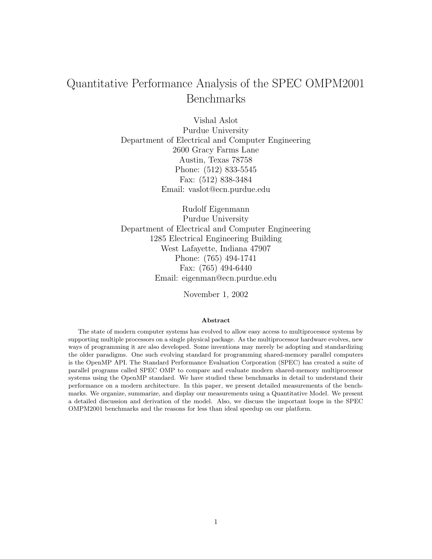# Quantitative Performance Analysis of the SPEC OMPM2001 Benchmarks

Vishal Aslot Purdue University Department of Electrical and Computer Engineering 2600 Gracy Farms Lane Austin, Texas 78758 Phone: (512) 833-5545 Fax: (512) 838-3484 Email: vaslot@ecn.purdue.edu

Rudolf Eigenmann Purdue University Department of Electrical and Computer Engineering 1285 Electrical Engineering Building West Lafayette, Indiana 47907 Phone: (765) 494-1741 Fax: (765) 494-6440 Email: eigenman@ecn.purdue.edu

November 1, 2002

#### Abstract

The state of modern computer systems has evolved to allow easy access to multiprocessor systems by supporting multiple processors on a single physical package. As the multiprocessor hardware evolves, new ways of programming it are also developed. Some inventions may merely be adopting and standardizing the older paradigms. One such evolving standard for programming shared-memory parallel computers is the OpenMP API. The Standard Performance Evaluation Corporation (SPEC) has created a suite of parallel programs called SPEC OMP to compare and evaluate modern shared-memory multiprocessor systems using the OpenMP standard. We have studied these benchmarks in detail to understand their performance on a modern architecture. In this paper, we present detailed measurements of the benchmarks. We organize, summarize, and display our measurements using a Quantitative Model. We present a detailed discussion and derivation of the model. Also, we discuss the important loops in the SPEC OMPM2001 benchmarks and the reasons for less than ideal speedup on our platform.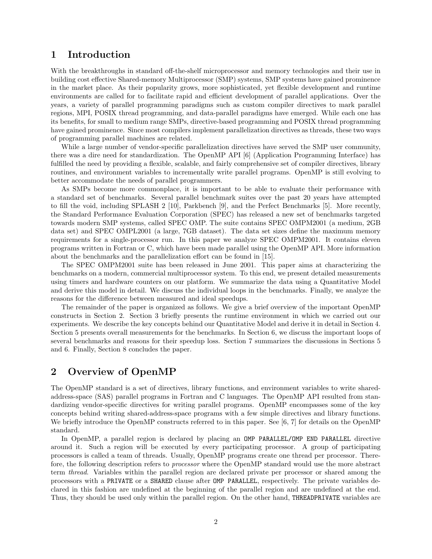# 1 Introduction

With the breakthroughs in standard off-the-shelf microprocessor and memory technologies and their use in building cost effective Shared-memory Multiprocessor (SMP) systems, SMP systems have gained prominence in the market place. As their popularity grows, more sophisticated, yet flexible development and runtime environments are called for to facilitate rapid and efficient development of parallel applications. Over the years, a variety of parallel programming paradigms such as custom compiler directives to mark parallel regions, MPI, POSIX thread programming, and data-parallel paradigms have emerged. While each one has its benefits, for small to medium range SMPs, directive-based programming and POSIX thread programming have gained prominence. Since most compilers implement parallelization directives as threads, these two ways of programming parallel machines are related.

While a large number of vendor-specific parallelization directives have served the SMP user community, there was a dire need for standardization. The OpenMP API [6] (Application Programming Interface) has fulfilled the need by providing a flexible, scalable, and fairly comprehensive set of compiler directives, library routines, and environment variables to incrementally write parallel programs. OpenMP is still evolving to better accommodate the needs of parallel programmers.

As SMPs become more commonplace, it is important to be able to evaluate their performance with a standard set of benchmarks. Several parallel benchmark suites over the past 20 years have attempted to fill the void, including SPLASH 2 [10], Parkbench [9], and the Perfect Benchmarks [5]. More recently, the Standard Performance Evaluation Corporation (SPEC) has released a new set of benchmarks targeted towards modern SMP systems, called SPEC OMP. The suite contains SPEC OMPM2001 (a medium, 2GB data set) and SPEC OMPL2001 (a large, 7GB dataset). The data set sizes define the maximum memory requirements for a single-processor run. In this paper we analyze SPEC OMPM2001. It contains eleven programs written in Fortran or C, which have been made parallel using the OpenMP API. More information about the benchmarks and the parallelization effort can be found in [15].

The SPEC OMPM2001 suite has been released in June 2001. This paper aims at characterizing the benchmarks on a modern, commercial multiprocessor system. To this end, we present detailed measurements using timers and hardware counters on our platform. We summarize the data using a Quantitative Model and derive this model in detail. We discuss the individual loops in the benchmarks. Finally, we analyze the reasons for the difference between measured and ideal speedups.

The remainder of the paper is organized as follows. We give a brief overview of the important OpenMP constructs in Section 2. Section 3 briefly presents the runtime environment in which we carried out our experiments. We describe the key concepts behind our Quantitative Model and derive it in detail in Section 4. Section 5 presents overall measurements for the benchmarks. In Section 6, we discuss the important loops of several benchmarks and reasons for their speedup loss. Section 7 summarizes the discussions in Sections 5 and 6. Finally, Section 8 concludes the paper.

# 2 Overview of OpenMP

The OpenMP standard is a set of directives, library functions, and environment variables to write sharedaddress-space (SAS) parallel programs in Fortran and C languages. The OpenMP API resulted from standardizing vendor-specific directives for writing parallel programs. OpenMP encompasses some of the key concepts behind writing shared-address-space programs with a few simple directives and library functions. We briefly introduce the OpenMP constructs referred to in this paper. See [6, 7] for details on the OpenMP standard.

In OpenMP, a parallel region is declared by placing an OMP PARALLEL/OMP END PARALLEL directive around it. Such a region will be executed by every participating processor. A group of participating processors is called a team of threads. Usually, OpenMP programs create one thread per processor. Therefore, the following description refers to processor where the OpenMP standard would use the more abstract term thread. Variables within the parallel region are declared private per processor or shared among the processors with a PRIVATE or a SHARED clause after OMP PARALLEL, respectively. The private variables declared in this fashion are undefined at the beginning of the parallel region and are undefined at the end. Thus, they should be used only within the parallel region. On the other hand, THREADPRIVATE variables are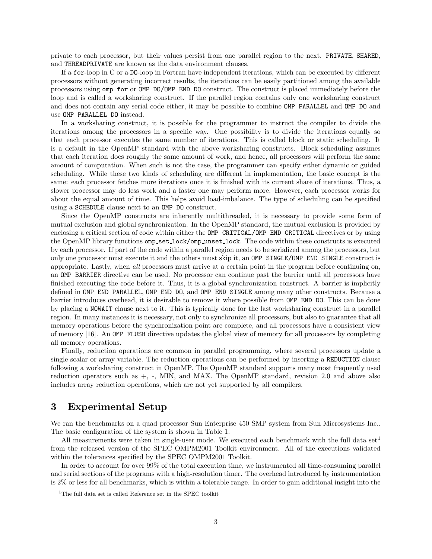private to each processor, but their values persist from one parallel region to the next. PRIVATE, SHARED, and THREADPRIVATE are known as the data environment clauses.

If a for-loop in C or a DO-loop in Fortran have independent iterations, which can be executed by different processors without generating incorrect results, the iterations can be easily partitioned among the available processors using omp for or OMP DO/OMP END DO construct. The construct is placed immediately before the loop and is called a worksharing construct. If the parallel region contains only one worksharing construct and does not contain any serial code either, it may be possible to combine OMP PARALLEL and OMP DO and use OMP PARALLEL DO instead.

In a worksharing construct, it is possible for the programmer to instruct the compiler to divide the iterations among the processors in a specific way. One possibility is to divide the iterations equally so that each processor executes the same number of iterations. This is called block or static scheduling. It is a default in the OpenMP standard with the above worksharing constructs. Block scheduling assumes that each iteration does roughly the same amount of work, and hence, all processors will perform the same amount of computation. When such is not the case, the programmer can specify either dynamic or guided scheduling. While these two kinds of scheduling are different in implementation, the basic concept is the same: each processor fetches more iterations once it is finished with its current share of iterations. Thus, a slower processor may do less work and a faster one may perform more. However, each processor works for about the equal amount of time. This helps avoid load-imbalance. The type of scheduling can be specified using a SCHEDULE clause next to an OMP DO construct.

Since the OpenMP constructs are inherently multithreaded, it is necessary to provide some form of mutual exclusion and global synchronization. In the OpenMP standard, the mutual exclusion is provided by enclosing a critical section of code within either the OMP CRITICAL/OMP END CRITICAL directives or by using the OpenMP library functions omp set lock/omp unset lock. The code within these constructs is executed by each processor. If part of the code within a parallel region needs to be serialized among the processors, but only one processor must execute it and the others must skip it, an OMP SINGLE/OMP END SINGLE construct is appropriate. Lastly, when all processors must arrive at a certain point in the program before continuing on, an OMP BARRIER directive can be used. No processor can continue past the barrier until all processors have finished executing the code before it. Thus, it is a global synchronization construct. A barrier is implicitly defined in OMP END PARALLEL, OMP END DO, and OMP END SINGLE among many other constructs. Because a barrier introduces overhead, it is desirable to remove it where possible from OMP END DO. This can be done by placing a NOWAIT clause next to it. This is typically done for the last worksharing construct in a parallel region. In many instances it is necessary, not only to synchronize all processors, but also to guarantee that all memory operations before the synchronization point are complete, and all processors have a consistent view of memory [16]. An OMP FLUSH directive updates the global view of memory for all processors by completing all memory operations.

Finally, reduction operations are common in parallel programming, where several processors update a single scalar or array variable. The reduction operations can be performed by inserting a REDUCTION clause following a worksharing construct in OpenMP. The OpenMP standard supports many most frequently used reduction operators such as +, -, MIN, and MAX. The OpenMP standard, revision 2.0 and above also includes array reduction operations, which are not yet supported by all compilers.

# 3 Experimental Setup

We ran the benchmarks on a quad processor Sun Enterprise 450 SMP system from Sun Microsystems Inc.. The basic configuration of the system is shown in Table 1.

All measurements were taken in single-user mode. We executed each benchmark with the full data set<sup>1</sup> from the released version of the SPEC OMPM2001 Toolkit environment. All of the executions validated within the tolerances specified by the SPEC OMPM2001 Toolkit.

In order to account for over 99% of the total execution time, we instrumented all time-consuming parallel and serial sections of the programs with a high-resolution timer. The overhead introduced by instrumentation is 2% or less for all benchmarks, which is within a tolerable range. In order to gain additional insight into the

<sup>&</sup>lt;sup>1</sup>The full data set is called Reference set in the SPEC toolkit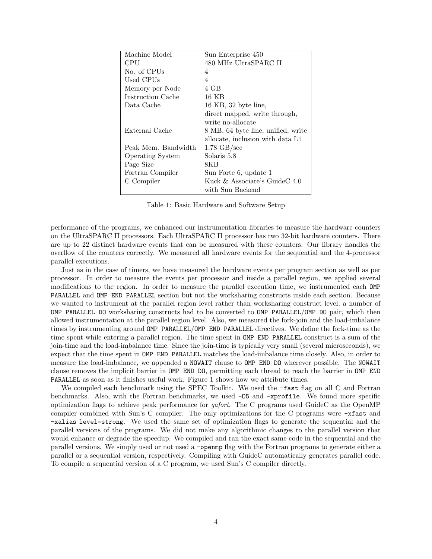| Machine Model           | Sun Enterprise 450                 |
|-------------------------|------------------------------------|
| CPU                     | 480 MHz UltraSPARC II              |
| No. of CPUs             | 4                                  |
| Used CPUs               | 4                                  |
| Memory per Node         | 4 GB                               |
| Instruction Cache       | 16 KB                              |
| Data Cache              | 16 KB, 32 byte line,               |
|                         | direct mapped, write through,      |
|                         | write no-allocate                  |
| External Cache          | 8 MB, 64 byte line, unified, write |
|                         | allocate, inclusion with data L1   |
| Peak Mem. Bandwidth     | $1.78 \text{ GB/sec}$              |
| <b>Operating System</b> | Solaris 5.8                        |
| Page Size               | 8KB                                |
| Fortran Compiler        | Sun Forte 6, update 1              |
| C Compiler              | Kuck & Associate's GuideC $4.0$    |
|                         | with Sun Backend                   |

Table 1: Basic Hardware and Software Setup

performance of the programs, we enhanced our instrumentation libraries to measure the hardware counters on the UltraSPARC II processors. Each UltraSPARC II processor has two 32-bit hardware counters. There are up to 22 distinct hardware events that can be measured with these counters. Our library handles the overflow of the counters correctly. We measured all hardware events for the sequential and the 4-processor parallel executions.

Just as in the case of timers, we have measured the hardware events per program section as well as per processor. In order to measure the events per processor and inside a parallel region, we applied several modifications to the region. In order to measure the parallel execution time, we instrumented each OMP PARALLEL and OMP END PARALLEL section but not the worksharing constructs inside each section. Because we wanted to instrument at the parallel region level rather than worksharing construct level, a number of OMP PARALLEL DO worksharing constructs had to be converted to OMP PARALLEL/OMP DO pair, which then allowed instrumentation at the parallel region level. Also, we measured the fork-join and the load-imbalance times by instrumenting around OMP PARALLEL/OMP END PARALLEL directives. We define the fork-time as the time spent while entering a parallel region. The time spent in OMP END PARALLEL construct is a sum of the join-time and the load-imbalance time. Since the join-time is typically very small (several microseconds), we expect that the time spent in OMP END PARALLEL matches the load-imbalance time closely. Also, in order to measure the load-imbalance, we appended a NOWAIT clause to OMP END DO wherever possible. The NOWAIT clause removes the implicit barrier in OMP END DO, permitting each thread to reach the barrier in OMP END PARALLEL as soon as it finishes useful work. Figure 1 shows how we attribute times.

We compiled each benchmark using the SPEC Toolkit. We used the  $-fast$  flag on all C and Fortran benchmarks. Also, with the Fortran benchmarks, we used -O5 and -xprofile. We found more specific optimization flags to achieve peak performance for gafort. The C programs used GuideC as the OpenMP compiler combined with Sun's C compiler. The only optimizations for the C programs were -xfast and -xalias level=strong. We used the same set of optimization flags to generate the sequential and the parallel versions of the programs. We did not make any algorithmic changes to the parallel version that would enhance or degrade the speedup. We compiled and ran the exact same code in the sequential and the parallel versions. We simply used or not used a -openmp flag with the Fortran programs to generate either a parallel or a sequential version, respectively. Compiling with GuideC automatically generates parallel code. To compile a sequential version of a C program, we used Sun's C compiler directly.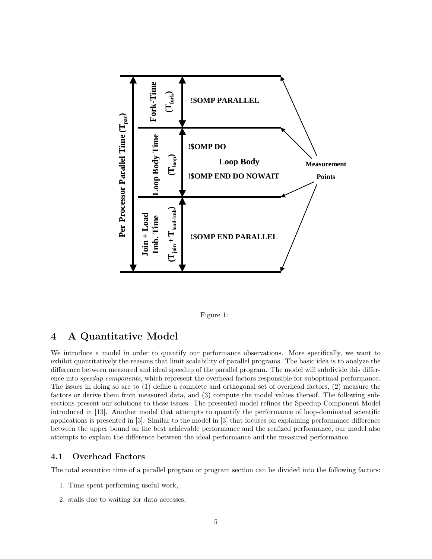

Figure 1:

# 4 A Quantitative Model

We introduce a model in order to quantify our performance observations. More specifically, we want to exhibit quantitatively the reasons that limit scalability of parallel programs. The basic idea is to analyze the difference between measured and ideal speedup of the parallel program. The model will subdivide this difference into *speedup components*, which represent the overhead factors responsible for suboptimal performance. The issues in doing so are to (1) define a complete and orthogonal set of overhead factors, (2) measure the factors or derive them from measured data, and (3) compute the model values thereof. The following subsections present our solutions to these issues. The presented model refines the Speedup Component Model introduced in [13]. Another model that attempts to quantify the performance of loop-dominated scientific applications is presented in [3]. Similar to the model in [3] that focuses on explaining performance difference between the upper bound on the best achievable performance and the realized performance, our model also attempts to explain the difference between the ideal performance and the measured performance.

#### 4.1 Overhead Factors

The total execution time of a parallel program or program section can be divided into the following factors:

- 1. Time spent performing useful work,
- 2. stalls due to waiting for data accesses,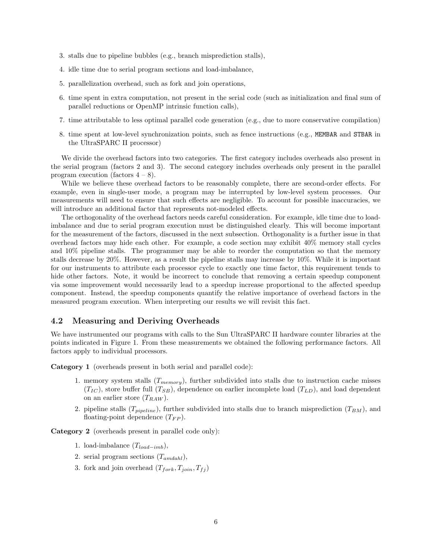- 3. stalls due to pipeline bubbles (e.g., branch misprediction stalls),
- 4. idle time due to serial program sections and load-imbalance,
- 5. parallelization overhead, such as fork and join operations,
- 6. time spent in extra computation, not present in the serial code (such as initialization and final sum of parallel reductions or OpenMP intrinsic function calls),
- 7. time attributable to less optimal parallel code generation (e.g., due to more conservative compilation)
- 8. time spent at low-level synchronization points, such as fence instructions (e.g., MEMBAR and STBAR in the UltraSPARC II processor)

We divide the overhead factors into two categories. The first category includes overheads also present in the serial program (factors 2 and 3). The second category includes overheads only present in the parallel program execution (factors  $4 - 8$ ).

While we believe these overhead factors to be reasonably complete, there are second-order effects. For example, even in single-user mode, a program may be interrupted by low-level system processes. Our measurements will need to ensure that such effects are negligible. To account for possible inaccuracies, we will introduce an additional factor that represents not-modeled effects.

The orthogonality of the overhead factors needs careful consideration. For example, idle time due to loadimbalance and due to serial program execution must be distinguished clearly. This will become important for the measurement of the factors, discussed in the next subsection. Orthogonality is a further issue in that overhead factors may hide each other. For example, a code section may exhibit 40% memory stall cycles and 10% pipeline stalls. The programmer may be able to reorder the computation so that the memory stalls decrease by 20%. However, as a result the pipeline stalls may increase by 10%. While it is important for our instruments to attribute each processor cycle to exactly one time factor, this requirement tends to hide other factors. Note, it would be incorrect to conclude that removing a certain speedup component via some improvement would necessarily lead to a speedup increase proportional to the affected speedup component. Instead, the speedup components quantify the relative importance of overhead factors in the measured program execution. When interpreting our results we will revisit this fact.

#### 4.2 Measuring and Deriving Overheads

We have instrumented our programs with calls to the Sun UltraSPARC II hardware counter libraries at the points indicated in Figure 1. From these measurements we obtained the following performance factors. All factors apply to individual processors.

Category 1 (overheads present in both serial and parallel code):

- 1. memory system stalls  $(T_{memory})$ , further subdivided into stalls due to instruction cache misses  $(T_{IC})$ , store buffer full  $(T_{SB})$ , dependence on earlier incomplete load  $(T_{LD})$ , and load dependent on an earlier store  $(T_{RAW})$ .
- 2. pipeline stalls  $(T_{pipeline})$ , further subdivided into stalls due to branch misprediction  $(T_{BM})$ , and floating-point dependence  $(T_{FP})$ .

Category 2 (overheads present in parallel code only):

- 1. load-imbalance  $(T_{load-imb})$ ,
- 2. serial program sections  $(T_{amdahl})$ ,
- 3. fork and join overhead  $(T_{fork}, T_{join}, T_{fi})$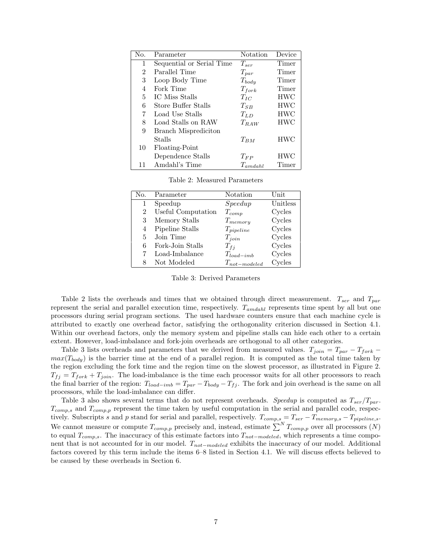| No. | Parameter                 | Notation     | Device     |
|-----|---------------------------|--------------|------------|
| 1   | Sequential or Serial Time | $T_{ser}$    | Timer      |
| 2   | Parallel Time             | $T_{par}$    | Timer      |
| 3   | Loop Body Time            | $T_{body}$   | Timer      |
| 4   | Fork Time                 | $T_{fork}$   | Timer      |
| 5   | IC Miss Stalls            | $T_{IC}$     | HWC        |
| 6   | Store Buffer Stalls       | $T_{SB}$     | <b>HWC</b> |
| 7   | Load Use Stalls           | $T_{LD}$     | <b>HWC</b> |
| 8   | Load Stalls on RAW        | $T_{RAW}$    | <b>HWC</b> |
| 9   | Branch Misprediciton      |              |            |
|     | Stalls                    | $T_{BM}$     | <b>HWC</b> |
| 10  | Floating-Point            |              |            |
|     | Dependence Stalls         | $T_{FP}$     | HWC        |
| 11  | Amdahl's Time             | $T_{amdahl}$ | Timer      |

Table 2: Measured Parameters

| No. | Parameter          | Notation          | Unit     |
|-----|--------------------|-------------------|----------|
| 1   | Speedup            | Speedup           | Unitless |
| 2   | Useful Computation | $T_{comp}$        | Cycles   |
| 3   | Memory Stalls      | $T_{memory}$      | Cycles   |
| 4   | Pipeline Stalls    | $T_{pipeline}$    | Cycles   |
| 5   | Join Time          | $T_{join}$        | Cycles   |
| 6   | Fork-Join Stalls   | $T_{fi}$          | Cycles   |
|     | Load-Imbalance     | $T_{load-imb}$    | Cycles   |
| 8   | Not Modeled        | $T_{not-modeled}$ | Cycles   |

Table 3: Derived Parameters

Table 2 lists the overheads and times that we obtained through direct measurement.  $T_{ser}$  and  $T_{par}$ represent the serial and parallel execution time, respectively.  $T_{amdahl}$  represents time spent by all but one processors during serial program sections. The used hardware counters ensure that each machine cycle is attributed to exactly one overhead factor, satisfying the orthogonality criterion discussed in Section 4.1. Within our overhead factors, only the memory system and pipeline stalls can hide each other to a certain extent. However, load-imbalance and fork-join overheads are orthogonal to all other categories.

Table 3 lists overheads and parameters that we derived from measured values.  $T_{join} = T_{par} - T_{fork}$  $max(T_{body})$  is the barrier time at the end of a parallel region. It is computed as the total time taken by the region excluding the fork time and the region time on the slowest processor, as illustrated in Figure 2.  $T_{fj} = T_{fork} + T_{join}$ . The load-imbalance is the time each processor waits for all other processors to reach the final barrier of the region:  $T_{load-imb} = T_{par} - T_{body} - T_{fj}$ . The fork and join overhead is the same on all processors, while the load-imbalance can differ.

Table 3 also shows several terms that do not represent overheads. Speedup is computed as  $T_{ser}/T_{par}$ .  $T_{comp,s}$  and  $T_{comp,p}$  represent the time taken by useful computation in the serial and parallel code, respectively. Subscripts s and p stand for serial and parallel, respectively.  $T_{comp,s} = T_{ser} - T_{memory,s} - T_{pipeline,s}$ . We cannot measure or compute  $T_{comp,p}$  precisely and, instead, estimate  $\sum^{N} T_{comp,p}$  over all processors  $(N)$ to equal  $T_{comp,s}$ . The inaccuracy of this estimate factors into  $T_{not-modeled}$ , which represents a time component that is not accounted for in our model.  $T_{not-modeled}$  exhibits the inaccuracy of our model. Additional factors covered by this term include the items 6–8 listed in Section 4.1. We will discuss effects believed to be caused by these overheads in Section 6.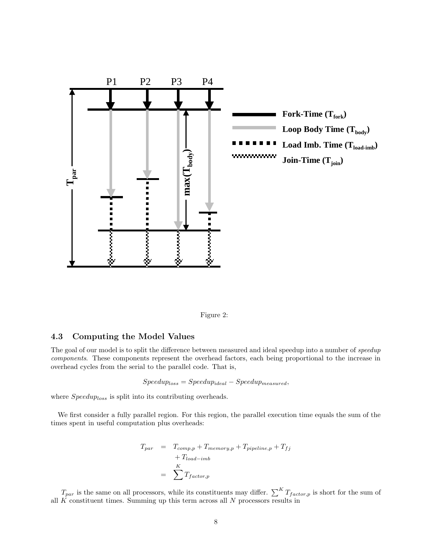



#### 4.3 Computing the Model Values

The goal of our model is to split the difference between measured and ideal speedup into a number of speedup components. These components represent the overhead factors, each being proportional to the increase in overhead cycles from the serial to the parallel code. That is,

 $Speedup<sub>loss</sub> = Speedup<sub>ideal</sub> - Speedup<sub>measured</sub>$ 

where  $Speedup_{loss}$  is split into its contributing overheads.

We first consider a fully parallel region. For this region, the parallel execution time equals the sum of the times spent in useful computation plus overheads:

$$
T_{par} = T_{comp,p} + T_{memory,p} + T_{pipeline,p} + T_{fj}
$$

$$
+ T_{load-imb}
$$

$$
= \sum_{K} T_{factor,p}
$$

 $T_{par}$  is the same on all processors, while its constituents may differ.  $\sum^{K} T_{factor,p}$  is short for the sum of all  $K$  constituent times. Summing up this term across all  $N$  processors results in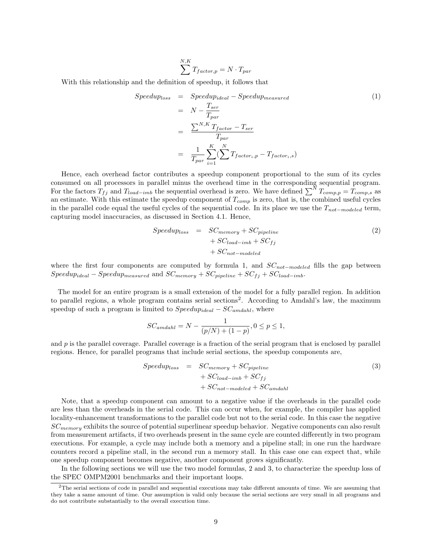$$
\sum^{N,K} T_{factor,p} = N \cdot T_{par}
$$

With this relationship and the definition of speedup, it follows that

$$
Speeduploss = Speedupideal - Speedupmeasured
$$
\n
$$
= N - \frac{T_{ser}}{T_{par}}
$$
\n
$$
= \frac{\sum^{N,K} T_{factor} - T_{ser}}{T_{par}}
$$
\n
$$
= \frac{1}{T_{par}} \sum_{i=1}^{K} (\sum T_{factor_{i},p} - T_{factor_{i},s})
$$
\n(1)

Hence, each overhead factor contributes a speedup component proportional to the sum of its cycles consumed on all processors in parallel minus the overhead time in the corresponding sequential program. For the factors  $T_{fj}$  and  $T_{load-imb}$  the sequential overhead is zero. We have defined  $\sum^{N}T_{comp,p} = T_{comp,s}$  as an estimate. With this estimate the speedup component of  $T_{comp}$  is zero, that is, the combined useful cycles in the parallel code equal the useful cycles of the sequential code. In its place we use the  $T_{not-modeled}$  term, capturing model inaccuracies, as discussed in Section 4.1. Hence,

$$
Speeduploss = SCmemory + SCpipeline + SCload-imb + SCfj
$$
   
+ SC<sub>not-modeled</sub> (2)

where the first four components are computed by formula 1, and  $SC_{not-model}$  fills the gap between  $Speedup_{ideal} - Speedup_{measured}$  and  $SC_{memory} + SC_{pipeline} + SC_{ff} + SC_{load-imb}$ .

The model for an entire program is a small extension of the model for a fully parallel region. In addition to parallel regions, a whole program contains serial sections<sup>2</sup>. According to Amdahl's law, the maximum speedup of such a program is limited to  $Speedup_{ideal} - SC_{amdahl}$ , where

$$
SC_{amdahl} = N - \frac{1}{(p/N) + (1 - p)}, 0 \le p \le 1,
$$

and  $p$  is the parallel coverage. Parallel coverage is a fraction of the serial program that is enclosed by parallel regions. Hence, for parallel programs that include serial sections, the speedup components are,

$$
Speeduploss = SCmemory + SCpipeline + SCload-imb + SCfj + SCnot-modeled + SCamdahl
$$
 (3)

Note, that a speedup component can amount to a negative value if the overheads in the parallel code are less than the overheads in the serial code. This can occur when, for example, the compiler has applied locality-enhancement transformations to the parallel code but not to the serial code. In this case the negative  $SC_{memory}$  exhibits the source of potential superlinear speedup behavior. Negative components can also result from measurement artifacts, if two overheads present in the same cycle are counted differently in two program executions. For example, a cycle may include both a memory and a pipeline stall; in one run the hardware counters record a pipeline stall, in the second run a memory stall. In this case one can expect that, while one speedup component becomes negative, another component grows significantly.

In the following sections we will use the two model formulas, 2 and 3, to characterize the speedup loss of the SPEC OMPM2001 benchmarks and their important loops.

 $2$ The serial sections of code in parallel and sequential executions may take different amounts of time. We are assuming that they take a same amount of time. Our assumption is valid only because the serial sections are very small in all programs and do not contribute substantially to the overall execution time.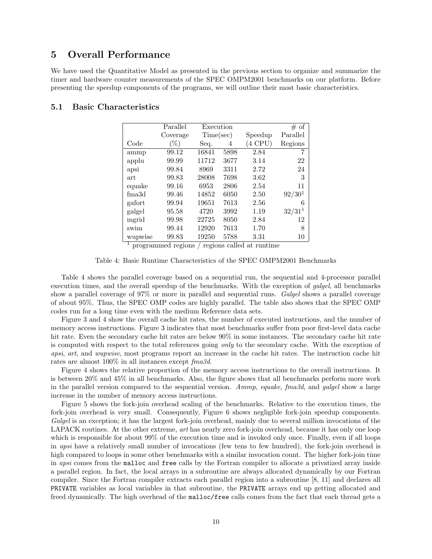# 5 Overall Performance

We have used the Quantitative Model as presented in the previous section to organize and summarize the timer and hardware counter measurements of the SPEC OMPM2001 benchmarks on our platform. Before presenting the speedup components of the programs, we will outline their most basic characteristics.

#### 5.1 Basic Characteristics

|         | Parallel | Execution |      |          | # of               |
|---------|----------|-----------|------|----------|--------------------|
|         | Coverage | Time(sec) |      | Speedup  | Parallel           |
| Code    | $(\% )$  | Seq.      | 4    | $4$ CPU) | Regions            |
| ammp    | 99.12    | 16841     | 5898 | 2.84     | 7                  |
| applu   | 99.99    | 11712     | 3677 | 3.14     | 22                 |
| apsi    | 99.84    | 8969      | 3311 | 2.72     | 24                 |
| art     | 99.83    | 28008     | 7698 | 3.62     | 3                  |
| equake  | 99.16    | 6953      | 2806 | 2.54     | 11                 |
| fma3d   | 99.46    | 14852     | 6050 | 2.50     | 92/30 <sup>1</sup> |
| gafort  | 99.94    | 19651     | 7613 | 2.56     | 6                  |
| galgel  | 95.58    | 4720      | 3992 | 1.19     | 32/31 <sup>1</sup> |
| mgrid   | 99.98    | 22725     | 8050 | 2.84     | 12                 |
| swim    | 99.44    | 12920     | 7613 | 1.70     | 8                  |
| wupwise | 99.83    | 19250     | 5788 | 3.31     | 10                 |

<sup>1</sup> programmed regions / regions called at runtime

Table 4: Basic Runtime Characteristics of the SPEC OMPM2001 Benchmarks

Table 4 shows the parallel coverage based on a sequential run, the sequential and 4-processor parallel execution times, and the overall speedup of the benchmarks. With the exception of *galgel*, all benchmarks show a parallel coverage of 97% or more in parallel and sequential runs. Galgel shows a parallel coverage of about 95%. Thus, the SPEC OMP codes are highly parallel. The table also shows that the SPEC OMP codes run for a long time even with the medium Reference data sets.

Figure 3 and 4 show the overall cache hit rates, the number of executed instructions, and the number of memory access instructions. Figure 3 indicates that most benchmarks suffer from poor first-level data cache hit rate. Even the secondary cache hit rates are below  $90\%$  in some instances. The secondary cache hit rate is computed with respect to the total references going *only* to the secondary cache. With the exception of apsi, art, and wupwise, most programs report an increase in the cache hit rates. The instruction cache hit rates are almost  $100\%$  in all instances except  $\text{f}ma3d$ .

Figure 4 shows the relative proportion of the memory access instructions to the overall instructions. It is between 20% and 45% in all benchmarks. Also, the figure shows that all benchmarks perform more work in the parallel version compared to the sequential version. Ammp, equake, fma3d, and galgel show a large increase in the number of memory access instructions.

Figure 5 shows the fork-join overhead scaling of the benchmarks. Relative to the execution times, the fork-join overhead is very small. Consequently, Figure 6 shows negligible fork-join speedup components. Galgel is an exception; it has the largest fork-join overhead, mainly due to several million invocations of the LAPACK routines. At the other extreme, art has nearly zero fork-join overhead, because it has only one loop which is responsible for about 99% of the execution time and is invoked only once. Finally, even if all loops in apsi have a relatively small number of invocations (few tens to few hundred), the fork-join overhead is high compared to loops in some other benchmarks with a similar invocation count. The higher fork-join time in apsi comes from the malloc and free calls by the Fortran compiler to allocate a privatized array inside a parallel region. In fact, the local arrays in a subroutine are always allocated dynamically by our Fortran compiler. Since the Fortran compiler extracts each parallel region into a subroutine [8, 11] and declares all PRIVATE variables as local variables in that subroutine, the PRIVATE arrays end up getting allocated and freed dynamically. The high overhead of the malloc/free calls comes from the fact that each thread gets a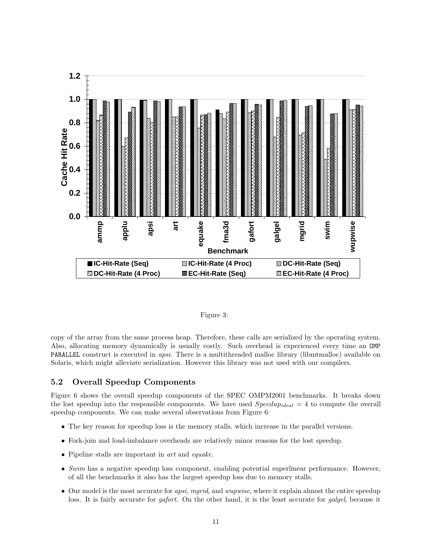



copy of the array from the same process heap. Therefore, these calls are serialized by the operating system. Also, allocating memory dynamically is usually costly. Such overhead is experienced every time an OMP PARALLEL construct is executed in *apsi*. There is a multithreaded malloc library (libmtmalloc) available on Solaris, which might alleviate serialization. However this library was not used with our compilers.

### 5.2 Overall Speedup Components

Figure 6 shows the overall speedup components of the SPEC OMPM2001 benchmarks. It breaks down the lost speedup into the responsible components. We have used  $Speedup_{ideal} = 4$  to compute the overall speedup components. We can make several observations from Figure 6:

- The key reason for speedup loss is the memory stalls, which increase in the parallel versions.
- Fork-join and load-imbalance overheads are relatively minor reasons for the lost speedup.
- Pipeline stalls are important in art and equake.
- Swim has a negative speedup loss component, enabling potential superlinear performance. However, of all the benchmarks it also has the largest speedup loss due to memory stalls.
- Our model is the most accurate for *apsi*, mgrid, and *wupwise*, where it explain almost the entire speedup loss. It is fairly accurate for *gafort*. On the other hand, it is the least accurate for *galgel*, because it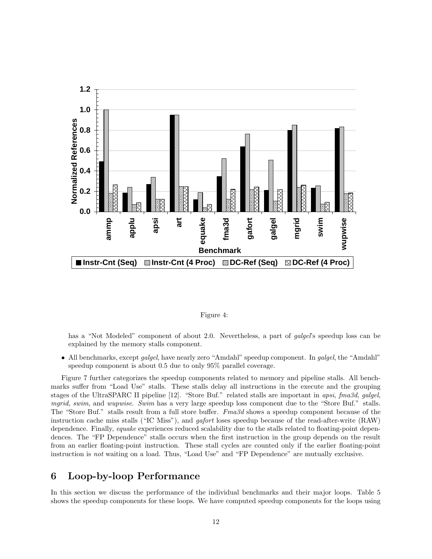

#### Figure 4:

has a "Not Modeled" component of about 2.0. Nevertheless, a part of *galgel*'s speedup loss can be explained by the memory stalls component.

• All benchmarks, except galgel, have nearly zero "Amdahl" speedup component. In galgel, the "Amdahl" speedup component is about 0.5 due to only 95% parallel coverage.

Figure 7 further categorizes the speedup components related to memory and pipeline stalls. All benchmarks suffer from "Load Use" stalls. These stalls delay all instructions in the execute and the grouping stages of the UltraSPARC II pipeline [12]. "Store Buf." related stalls are important in apsi, fma3d, galgel, mgrid, swim, and wupwise. Swim has a very large speedup loss component due to the "Store Buf." stalls. The "Store Buf." stalls result from a full store buffer. Fma3d shows a speedup component because of the instruction cache miss stalls ("IC Miss"), and gafort loses speedup because of the read-after-write (RAW) dependence. Finally, equake experiences reduced scalability due to the stalls related to floating-point dependences. The "FP Dependence" stalls occurs when the first instruction in the group depends on the result from an earlier floating-point instruction. These stall cycles are counted only if the earlier floating-point instruction is not waiting on a load. Thus, "Load Use" and "FP Dependence" are mutually exclusive.

# 6 Loop-by-loop Performance

In this section we discuss the performance of the individual benchmarks and their major loops. Table 5 shows the speedup components for these loops. We have computed speedup components for the loops using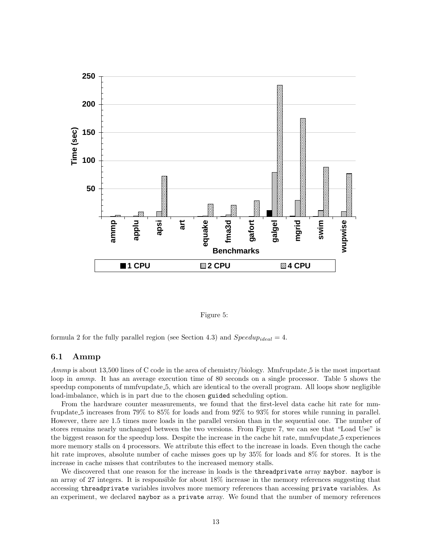

Figure 5:

formula 2 for the fully parallel region (see Section 4.3) and  $Speedup_{ideal} = 4$ .

#### 6.1 Ammp

Ammp is about 13,500 lines of C code in the area of chemistry/biology. Mmfvupdate 5 is the most important loop in ammp. It has an average execution time of 80 seconds on a single processor. Table 5 shows the speedup components of mmfvupdate 5, which are identical to the overall program. All loops show negligible load-imbalance, which is in part due to the chosen guided scheduling option.

From the hardware counter measurements, we found that the first-level data cache hit rate for mmfvupdate 5 increases from 79% to 85% for loads and from 92% to 93% for stores while running in parallel. However, there are 1.5 times more loads in the parallel version than in the sequential one. The number of stores remains nearly unchanged between the two versions. From Figure 7, we can see that "Load Use" is the biggest reason for the speedup loss. Despite the increase in the cache hit rate, mmfvupdate 5 experiences more memory stalls on 4 processors. We attribute this effect to the increase in loads. Even though the cache hit rate improves, absolute number of cache misses goes up by 35% for loads and 8% for stores. It is the increase in cache misses that contributes to the increased memory stalls.

We discovered that one reason for the increase in loads is the threadprivate array naybor. naybor is an array of 27 integers. It is responsible for about 18% increase in the memory references suggesting that accessing threadprivate variables involves more memory references than accessing private variables. As an experiment, we declared naybor as a private array. We found that the number of memory references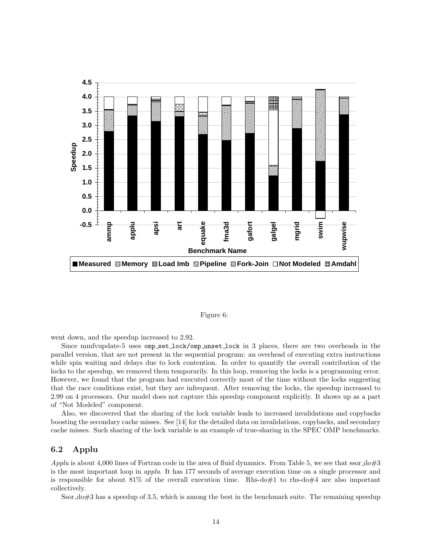![](_page_13_Figure_0.jpeg)

Figure 6:

went down, and the speedup increased to 2.92.

Since mmfvupdate-5 uses omp set lock/omp unset lock in 3 places, there are two overheads in the parallel version, that are not present in the sequential program: an overhead of executing extra instructions while spin waiting and delays due to lock contention. In order to quantify the overall contribution of the locks to the speedup, we removed them temporarily. In this loop, removing the locks is a programming error. However, we found that the program had executed correctly most of the time without the locks suggesting that the race conditions exist, but they are infrequent. After removing the locks, the speedup increased to 2.99 on 4 processors. Our model does not capture this speedup component explicitly. It shows up as a part of "Not Modeled" component.

Also, we discovered that the sharing of the lock variable leads to increased invalidations and copybacks boosting the secondary cache misses. See [14] for the detailed data on invalidations, copybacks, and secondary cache misses. Such sharing of the lock variable is an example of true-sharing in the SPEC OMP benchmarks.

#### 6.2 Applu

Applu is about 4,000 lines of Fortran code in the area of fluid dynamics. From Table 5, we see that ssor  $d\phi$  + 3 is the most important loop in applu. It has 177 seconds of average execution time on a single processor and is responsible for about  $81\%$  of the overall execution time. Rhs-do $\#1$  to rhs-do $\#4$  are also important collectively.

Ssor do#3 has a speedup of 3.5, which is among the best in the benchmark suite. The remaining speedup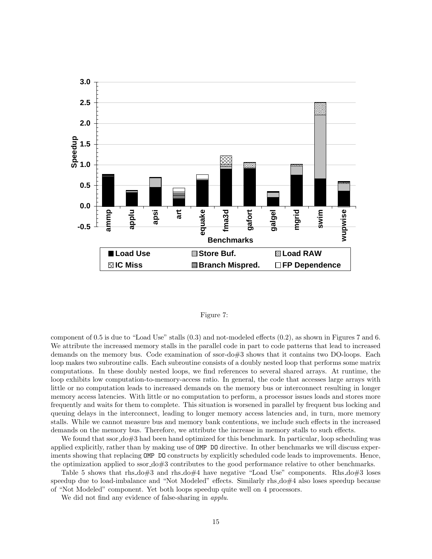![](_page_14_Figure_0.jpeg)

#### Figure 7:

component of 0.5 is due to "Load Use" stalls (0.3) and not-modeled effects (0.2), as shown in Figures 7 and 6. We attribute the increased memory stalls in the parallel code in part to code patterns that lead to increased demands on the memory bus. Code examination of ssor-do#3 shows that it contains two DO-loops. Each loop makes two subroutine calls. Each subroutine consists of a doubly nested loop that performs some matrix computations. In these doubly nested loops, we find references to several shared arrays. At runtime, the loop exhibits low computation-to-memory-access ratio. In general, the code that accesses large arrays with little or no computation leads to increased demands on the memory bus or interconnect resulting in longer memory access latencies. With little or no computation to perform, a processor issues loads and stores more frequently and waits for them to complete. This situation is worsened in parallel by frequent bus locking and queuing delays in the interconnect, leading to longer memory access latencies and, in turn, more memory stalls. While we cannot measure bus and memory bank contentions, we include such effects in the increased demands on the memory bus. Therefore, we attribute the increase in memory stalls to such effects.

We found that ssor\_do#3 had been hand optimized for this benchmark. In particular, loop scheduling was applied explicitly, rather than by making use of OMP DO directive. In other benchmarks we will discuss experiments showing that replacing OMP DO constructs by explicitly scheduled code leads to improvements. Hence, the optimization applied to ssor do#3 contributes to the good performance relative to other benchmarks.

Table 5 shows that rhs  $d\phi$  and rhs  $d\phi$  and rhs do  $\phi$  and rhave negative "Load Use" components. Rhs  $d\phi$  and  $d\phi$ speedup due to load-imbalance and "Not Modeled" effects. Similarly rhs do#4 also loses speedup because of "Not Modeled" component. Yet both loops speedup quite well on 4 processors.

We did not find any evidence of false-sharing in *applu*.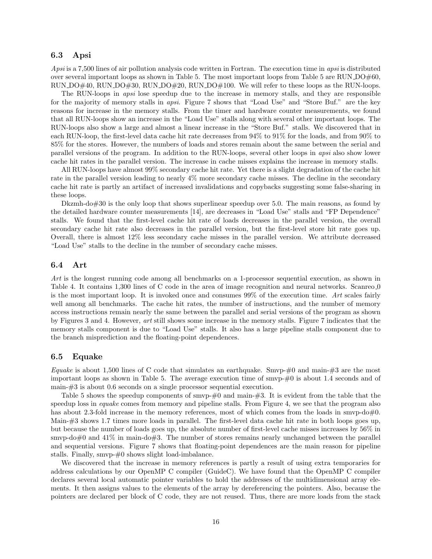#### 6.3 Apsi

Apsi is a 7,500 lines of air pollution analysis code written in Fortran. The execution time in apsi is distributed over several important loops as shown in Table 5. The most important loops from Table 5 are RUN  $DO#60$ , RUN DO#40, RUN DO#30, RUN DO#20, RUN DO#100. We will refer to these loops as the RUN-loops.

The RUN-loops in apsi lose speedup due to the increase in memory stalls, and they are responsible for the majority of memory stalls in apsi. Figure 7 shows that "Load Use" and "Store Buf." are the key reasons for increase in the memory stalls. From the timer and hardware counter measurements, we found that all RUN-loops show an increase in the "Load Use" stalls along with several other important loops. The RUN-loops also show a large and almost a linear increase in the "Store Buf." stalls. We discovered that in each RUN-loop, the first-level data cache hit rate decreases from 94% to 91% for the loads, and from 90% to 85% for the stores. However, the numbers of loads and stores remain about the same between the serial and parallel versions of the program. In addition to the RUN-loops, several other loops in apsi also show lower cache hit rates in the parallel version. The increase in cache misses explains the increase in memory stalls.

All RUN-loops have almost 99% secondary cache hit rate. Yet there is a slight degradation of the cache hit rate in the parallel version leading to nearly 4% more secondary cache misses. The decline in the secondary cache hit rate is partly an artifact of increased invalidations and copybacks suggesting some false-sharing in these loops.

Dkzmh-do#30 is the only loop that shows superlinear speedup over 5.0. The main reasons, as found by the detailed hardware counter measurements [14], are decreases in "Load Use" stalls and "FP Dependence" stalls. We found that the first-level cache hit rate of loads decreases in the parallel version, the overall secondary cache hit rate also decreases in the parallel version, but the first-level store hit rate goes up. Overall, there is almost 12% less secondary cache misses in the parallel version. We attribute decreased "Load Use" stalls to the decline in the number of secondary cache misses.

#### 6.4 Art

Art is the longest running code among all benchmarks on a 1-processor sequential execution, as shown in Table 4. It contains 1,300 lines of C code in the area of image recognition and neural networks. Scanreo 0 is the most important loop. It is invoked once and consumes 99% of the execution time. Art scales fairly well among all benchmarks. The cache hit rates, the number of instructions, and the number of memory access instructions remain nearly the same between the parallel and serial versions of the program as shown by Figures 3 and 4. However, art still shows some increase in the memory stalls. Figure 7 indicates that the memory stalls component is due to "Load Use" stalls. It also has a large pipeline stalls component due to the branch misprediction and the floating-point dependences.

#### 6.5 Equake

Equake is about 1,500 lines of C code that simulates an earthquake. Smvp- $\#0$  and main- $\#3$  are the most important loops as shown in Table 5. The average execution time of  $\text{supp}+\#0$  is about 1.4 seconds and of main-#3 is about 0.6 seconds on a single processor sequential execution.

Table 5 shows the speedup components of smvp- $\#0$  and main- $\#3$ . It is evident from the table that the speedup loss in *equake* comes from memory and pipeline stalls. From Figure 4, we see that the program also has about 2.3-fold increase in the memory references, most of which comes from the loads in smvp-do#0. Main-#3 shows 1.7 times more loads in parallel. The first-level data cache hit rate in both loops goes up, but because the number of loads goes up, the absolute number of first-level cache misses increases by 56% in smyp-do#0 and  $41\%$  in main-do#3. The number of stores remains nearly unchanged between the parallel and sequential versions. Figure 7 shows that floating-point dependences are the main reason for pipeline stalls. Finally, smvp-#0 shows slight load-imbalance.

We discovered that the increase in memory references is partly a result of using extra temporaries for address calculations by our OpenMP C compiler (GuideC). We have found that the OpenMP C compiler declares several local automatic pointer variables to hold the addresses of the multidimensional array elements. It then assigns values to the elements of the array by dereferencing the pointers. Also, because the pointers are declared per block of C code, they are not reused. Thus, there are more loads from the stack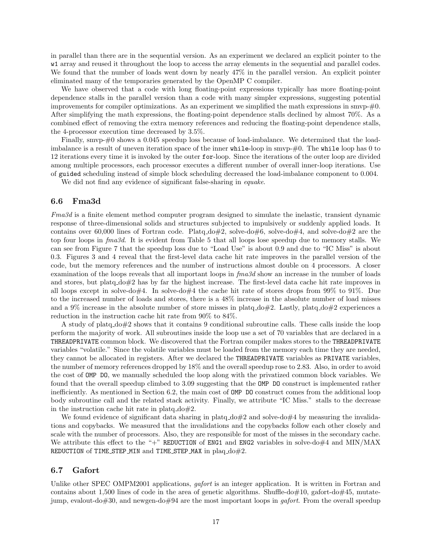in parallel than there are in the sequential version. As an experiment we declared an explicit pointer to the w1 array and reused it throughout the loop to access the array elements in the sequential and parallel codes. We found that the number of loads went down by nearly  $47\%$  in the parallel version. An explicit pointer eliminated many of the temporaries generated by the OpenMP C compiler.

We have observed that a code with long floating-point expressions typically has more floating-point dependence stalls in the parallel version than a code with many simpler expressions, suggesting potential improvements for compiler optimizations. As an experiment we simplified the math expressions in smvp-#0. After simplifying the math expressions, the floating-point dependence stalls declined by almost 70%. As a combined effect of removing the extra memory references and reducing the floating-point dependence stalls, the 4-processor execution time decreased by 3.5%.

Finally, smvp-#0 shows a 0.045 speedup loss because of load-imbalance. We determined that the loadimbalance is a result of uneven iteration space of the inner while-loop in smyp- $\#0$ . The while loop has 0 to 12 iterations every time it is invoked by the outer for-loop. Since the iterations of the outer loop are divided among multiple processors, each processor executes a different number of overall inner-loop iterations. Use of guided scheduling instead of simple block scheduling decreased the load-imbalance component to 0.004.

We did not find any evidence of significant false-sharing in *equake*.

#### 6.6 Fma3d

Fma3d is a finite element method computer program designed to simulate the inelastic, transient dynamic response of three-dimensional solids and structures subjected to impulsively or suddenly applied loads. It contains over 60,000 lines of Fortran code. Platq  $d\omega \neq 2$ , solve-do $\neq 6$ , solve-do $\neq 4$ , and solve-do $\neq 2$  are the top four loops in fma3d. It is evident from Table 5 that all loops lose speedup due to memory stalls. We can see from Figure 7 that the speedup loss due to "Load Use" is about 0.9 and due to "IC Miss" is about 0.3. Figures 3 and 4 reveal that the first-level data cache hit rate improves in the parallel version of the code, but the memory references and the number of instructions almost double on 4 processors. A closer examination of the loops reveals that all important loops in  $fma3d$  show an increase in the number of loads and stores, but platq do#2 has by far the highest increase. The first-level data cache hit rate improves in all loops except in solve-do#4. In solve-do#4 the cache hit rate of stores drops from 99% to 91%. Due to the increased number of loads and stores, there is a 48% increase in the absolute number of load misses and a 9% increase in the absolute number of store misses in platq  $d\omega/2$ . Lastly, platq  $d\omega/2$  experiences a reduction in the instruction cache hit rate from 90% to 84%.

A study of platq do#2 shows that it contains 9 conditional subroutine calls. These calls inside the loop perform the majority of work. All subroutines inside the loop use a set of 70 variables that are declared in a THREADPRIVATE common block. We discovered that the Fortran compiler makes stores to the THREADPRIVATE variables "volatile." Since the volatile variables must be loaded from the memory each time they are needed, they cannot be allocated in registers. After we declared the THREADPRIVATE variables as PRIVATE variables, the number of memory references dropped by 18% and the overall speedup rose to 2.83. Also, in order to avoid the cost of OMP DO, we manually scheduled the loop along with the privatized common block variables. We found that the overall speedup climbed to 3.09 suggesting that the OMP DO construct is implemented rather inefficiently. As mentioned in Section 6.2, the main cost of OMP DO construct comes from the additional loop body subroutine call and the related stack activity. Finally, we attribute "IC Miss." stalls to the decrease in the instruction cache hit rate in platq  $d\omega \neq 2$ .

We found evidence of significant data sharing in platq  $d\phi \neq 2$  and solve-do $\neq 4$  by measuring the invalidations and copybacks. We measured that the invalidations and the copybacks follow each other closely and scale with the number of processors. Also, they are responsible for most of the misses in the secondary cache. We attribute this effect to the "+" REDUCTION of ENG1 and ENG2 variables in solve-do#4 and MIN/MAX REDUCTION of TIME STEP MIN and TIME STEP MAX in plaq  $d\omega \#2$ .

#### 6.7 Gafort

Unlike other SPEC OMPM2001 applications, *gafort* is an integer application. It is written in Fortran and contains about 1,500 lines of code in the area of genetic algorithms. Shuffle-do#10, gafort-do#45, mutatejump, evalout-do#30, and newgen-do#94 are the most important loops in *gafort*. From the overall speedup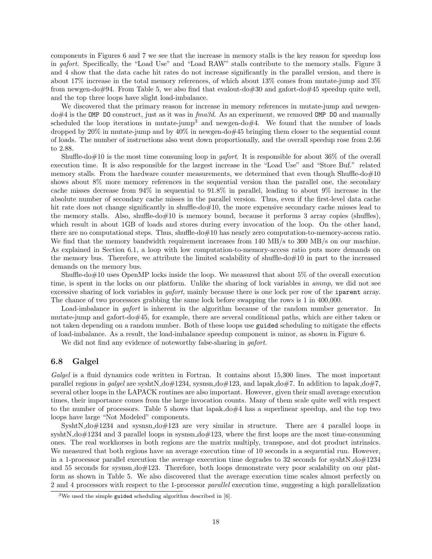components in Figures 6 and 7 we see that the increase in memory stalls is the key reason for speedup loss in gafort. Specifically, the "Load Use" and "Load RAW" stalls contribute to the memory stalls. Figure 3 and 4 show that the data cache hit rates do not increase significantly in the parallel version, and there is about 17% increase in the total memory references, of which about 13% comes from mutate-jump and 3% from newgen-do#94. From Table 5, we also find that evalout-do#30 and gafort-do#45 speedup quite well, and the top three loops have slight load-imbalance.

We discovered that the primary reason for increase in memory references in mutate-jump and newgen $d\phi \neq 4$  is the OMP DO construct, just as it was in  $fma3d$ . As an experiment, we removed OMP DO and manually scheduled the loop iterations in mutate-jump<sup>3</sup> and newgen-do $#4$ . We found that the number of loads dropped by 20% in mutate-jump and by 40% in newgen-do#45 bringing them closer to the sequential count of loads. The number of instructions also went down proportionally, and the overall speedup rose from 2.56 to 2.88.

Shuffle-do#10 is the most time consuming loop in *gafort*. It is responsible for about  $36\%$  of the overall execution time. It is also responsible for the largest increase in the "Load Use" and "Store Buf." related memory stalls. From the hardware counter measurements, we determined that even though Shuffle-do#10 shows about 8% more memory references in the sequential version than the parallel one, the secondary cache misses decrease from 94% in sequential to 91.8% in parallel, leading to about 9% increase in the absolute number of secondary cache misses in the parallel version. Thus, even if the first-level data cache hit rate does not change significantly in shuffle-do#10, the more expensive secondary cache misses lead to the memory stalls. Also, shuffle- $d\varphi \neq 10$  is memory bound, because it performs 3 array copies (shuffles). which result in about 1GB of loads and stores during every invocation of the loop. On the other hand, there are no computational steps. Thus, shuffle-do#10 has nearly zero computation-to-memory-access ratio. We find that the memory bandwidth requirement increases from 140 MB/s to 300 MB/s on our machine. As explained in Section 6.1, a loop with low computation-to-memory-access ratio puts more demands on the memory bus. Therefore, we attribute the limited scalability of shuffle- $d\omega \neq 10$  in part to the increased demands on the memory bus.

Shuffle-do#10 uses OpenMP locks inside the loop. We measured that about 5% of the overall execution time, is spent in the locks on our platform. Unlike the sharing of lock variables in *ammp*, we did not see excessive sharing of lock variables in gafort, mainly because there is one lock per row of the iparent array. The chance of two processors grabbing the same lock before swapping the rows is 1 in 400,000.

Load-imbalance in *gafort* is inherent in the algorithm because of the random number generator. In mutate-jump and gafort-do#45, for example, there are several conditional paths, which are either taken or not taken depending on a random number. Both of these loops use guided scheduling to mitigate the effects of load-imbalance. As a result, the load-imbalance speedup component is minor, as shown in Figure 6.

We did not find any evidence of noteworthy false-sharing in *gafort*.

#### 6.8 Galgel

Galgel is a fluid dynamics code written in Fortran. It contains about 15,300 lines. The most important parallel regions in galgel are syshtN do#1234, sysnsn do#123, and lapak do#7. In addition to lapak do#7, several other loops in the LAPACK routines are also important. However, given their small average execution times, their importance comes from the large invocation counts. Many of them scale quite well with respect to the number of processors. Table 5 shows that lapak  $d\varphi \neq 4$  has a superlinear speedup, and the top two loops have large "Not Modeled" components.

SyshtN do#1234 and sysnsn do#123 are very similar in structure. There are 4 parallel loops in syshtN  $d\omega$ #1234 and 3 parallel loops in sysnsn  $d\omega$ #123, where the first loops are the most time-consuming ones. The real workhorses in both regions are the matrix multiply, transpose, and dot product intrinsics. We measured that both regions have an average execution time of 10 seconds in a sequential run. However, in a 1-processor parallel execution the average execution time degrades to 32 seconds for syshtN do#1234 and 55 seconds for sysnsn do#123. Therefore, both loops demonstrate very poor scalability on our platform as shown in Table 5. We also discovered that the average execution time scales almost perfectly on 2 and 4 processors with respect to the 1-processor parallel execution time, suggesting a high parallelization

 $3$ We used the simple guided scheduling algorithm described in [6].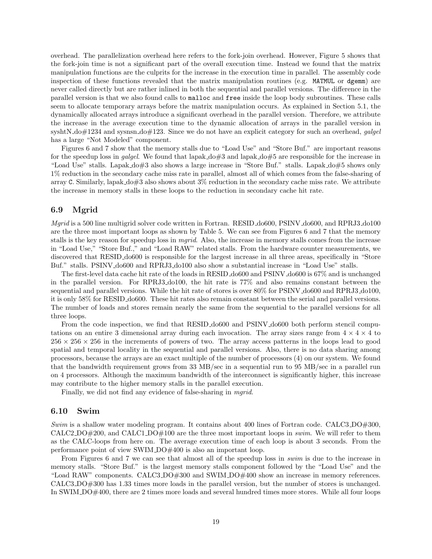overhead. The parallelization overhead here refers to the fork-join overhead. However, Figure 5 shows that the fork-join time is not a significant part of the overall execution time. Instead we found that the matrix manipulation functions are the culprits for the increase in the execution time in parallel. The assembly code inspection of these functions revealed that the matrix manipulation routines (e.g. MATMUL or dgemm) are never called directly but are rather inlined in both the sequential and parallel versions. The difference in the parallel version is that we also found calls to malloc and free inside the loop body subroutines. These calls seem to allocate temporary arrays before the matrix manipulation occurs. As explained in Section 5.1, the dynamically allocated arrays introduce a significant overhead in the parallel version. Therefore, we attribute the increase in the average execution time to the dynamic allocation of arrays in the parallel version in syshtN\_do#1234 and sysnsn\_do#123. Since we do not have an explicit category for such an overhead, galgel has a large "Not Modeled" component.

Figures 6 and 7 show that the memory stalls due to "Load Use" and "Store Buf." are important reasons for the speedup loss in *galgel*. We found that lapak  $d\phi$  and lapak  $d\phi$  are responsible for the increase in "Load Use" stalls. Lapak do#3 also shows a large increase in "Store Buf." stalls. Lapak do#5 shows only 1% reduction in the secondary cache miss rate in parallel, almost all of which comes from the false-sharing of array C. Similarly, lapak do#3 also shows about 3% reduction in the secondary cache miss rate. We attribute the increase in memory stalls in these loops to the reduction in secondary cache hit rate.

#### 6.9 Mgrid

Mgrid is a 500 line multigrid solver code written in Fortran. RESID do600, PSINV do600, and RPRJ3 do100 are the three most important loops as shown by Table 5. We can see from Figures 6 and 7 that the memory stalls is the key reason for speedup loss in *mgrid*. Also, the increase in memory stalls comes from the increase in "Load Use," "Store Buf.," and "Load RAW" related stalls. From the hardware counter measurements, we discovered that RESID do600 is responsible for the largest increase in all three areas, specifically in "Store Buf." stalls. PSINV do600 and RPRJ3 do100 also show a substantial increase in "Load Use" stalls.

The first-level data cache hit rate of the loads in RESID do600 and PSINV do600 is 67% and is unchanged in the parallel version. For RPRJ3 do100, the hit rate is 77% and also remains constant between the sequential and parallel versions. While the hit rate of stores is over 80% for PSINV do600 and RPRJ3 do100, it is only 58% for RESID do600. These hit rates also remain constant between the serial and parallel versions. The number of loads and stores remain nearly the same from the sequential to the parallel versions for all three loops.

From the code inspection, we find that RESID do600 and PSINV do600 both perform stencil computations on an entire 3 dimensional array during each invocation. The array sizes range from  $4 \times 4 \times 4$  to  $256 \times 256 \times 256$  in the increments of powers of two. The array access patterns in the loops lead to good spatial and temporal locality in the sequential and parallel versions. Also, there is no data sharing among processors, because the arrays are an exact multiple of the number of processors (4) on our system. We found that the bandwidth requirement grows from 33 MB/sec in a sequential run to 95 MB/sec in a parallel run on 4 processors. Although the maximum bandwidth of the interconnect is significantly higher, this increase may contribute to the higher memory stalls in the parallel execution.

Finally, we did not find any evidence of false-sharing in mgrid.

#### 6.10 Swim

Swim is a shallow water modeling program. It contains about 400 lines of Fortran code. CALC3 DO#300,  $CALC2_DO#200$ , and  $CALC1_DO#100$  are the three most important loops in *swim*. We will refer to them as the CALC-loops from here on. The average execution time of each loop is about 3 seconds. From the performance point of view SWIM DO#400 is also an important loop.

From Figures 6 and 7 we can see that almost all of the speedup loss in *swim* is due to the increase in memory stalls. "Store Buf." is the largest memory stalls component followed by the "Load Use" and the "Load RAW" components. CALC3 DO#300 and SWIM DO#400 show an increase in memory references. CALC3 DO#300 has 1.33 times more loads in the parallel version, but the number of stores is unchanged. In SWIM DO#400, there are 2 times more loads and several hundred times more stores. While all four loops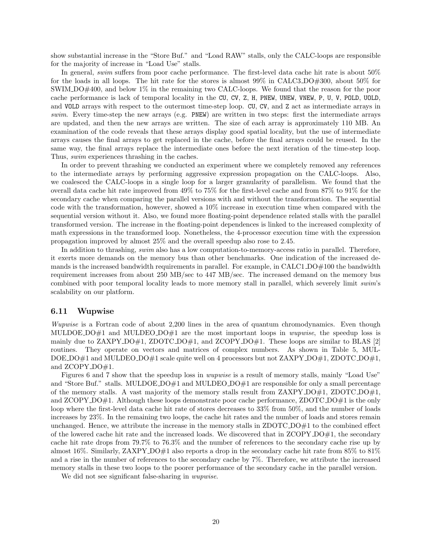show substantial increase in the "Store Buf." and "Load RAW" stalls, only the CALC-loops are responsible for the majority of increase in "Load Use" stalls.

In general, swim suffers from poor cache performance. The first-level data cache hit rate is about 50% for the loads in all loops. The hit rate for the stores is almost 99% in CALC3 DO#300, about 50% for SWIM DO#400, and below 1% in the remaining two CALC-loops. We found that the reason for the poor cache performance is lack of temporal locality in the CU, CV, Z, H, PNEW, UNEW, VNEW, P, U, V, POLD, UOLD, and VOLD arrays with respect to the outermost time-step loop. CU, CV, and Z act as intermediate arrays in swim. Every time-step the new arrays (e.g. PNEW) are written in two steps: first the intermediate arrays are updated, and then the new arrays are written. The size of each array is approximately 110 MB. An examination of the code reveals that these arrays display good spatial locality, but the use of intermediate arrays causes the final arrays to get replaced in the cache, before the final arrays could be reused. In the same way, the final arrays replace the intermediate ones before the next iteration of the time-step loop. Thus, swim experiences thrashing in the caches.

In order to prevent thrashing we conducted an experiment where we completely removed any references to the intermediate arrays by performing aggressive expression propagation on the CALC-loops. Also, we coalesced the CALC-loops in a single loop for a larger granularity of parallelism. We found that the overall data cache hit rate improved from 49% to 75% for the first-level cache and from 87% to 91% for the secondary cache when comparing the parallel versions with and without the transformation. The sequential code with the transformation, however, showed a 10% increase in execution time when compared with the sequential version without it. Also, we found more floating-point dependence related stalls with the parallel transformed version. The increase in the floating-point dependences is linked to the increased complexity of math expressions in the transformed loop. Nonetheless, the 4-processor execution time with the expression propagation improved by almost 25% and the overall speedup also rose to 2.45.

In addition to thrashing, *swim* also has a low computation-to-memory-access ratio in parallel. Therefore, it exerts more demands on the memory bus than other benchmarks. One indication of the increased demands is the increased bandwidth requirements in parallel. For example, in CALC1  $DO#100$  the bandwidth requirement increases from about 250 MB/sec to 447 MB/sec. The increased demand on the memory bus combined with poor temporal locality leads to more memory stall in parallel, which severely limit swim's scalability on our platform.

#### 6.11 Wupwise

Wupwise is a Fortran code of about 2,200 lines in the area of quantum chromodynamics. Even though MULDOE  $DO#1$  and MULDEO  $DO#1$  are the most important loops in *wupwise*, the speedup loss is mainly due to ZAXPY\_DO#1, ZDOTC\_DO#1, and ZCOPY\_DO#1. These loops are similar to BLAS  $[2]$ routines. They operate on vectors and matrices of complex numbers. As shown in Table 5, MUL-DOE DO#1 and MULDEO DO#1 scale quite well on 4 processors but not ZAXPY DO#1, ZDOTC DO#1, and ZCOPY DO#1.

Figures 6 and 7 show that the speedup loss in wupwise is a result of memory stalls, mainly "Load Use" and "Store Buf." stalls. MULDOE  $DO#1$  and MULDEO  $DO#1$  are responsible for only a small percentage of the memory stalls. A vast majority of the memory stalls result from ZAXPY  $DO#1$ , ZDOTC  $DO#1$ , and ZCOPY\_DO#1. Although these loops demonstrate poor cache performance, ZDOTC\_DO#1 is the only loop where the first-level data cache hit rate of stores decreases to 33% from 50%, and the number of loads increases by 23%. In the remaining two loops, the cache hit rates and the number of loads and stores remain unchanged. Hence, we attribute the increase in the memory stalls in  $ZDOTC\_DO#1$  to the combined effect of the lowered cache hit rate and the increased loads. We discovered that in ZCOPY DO#1, the secondary cache hit rate drops from 79.7% to 76.3% and the number of references to the secondary cache rise up by almost 16%. Similarly, ZAXPY DO#1 also reports a drop in the secondary cache hit rate from 85% to 81% and a rise in the number of references to the secondary cache by 7%. Therefore, we attribute the increased memory stalls in these two loops to the poorer performance of the secondary cache in the parallel version.

We did not see significant false-sharing in wupwise.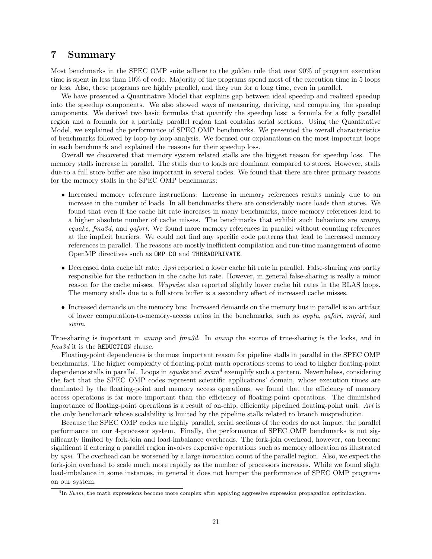### 7 Summary

Most benchmarks in the SPEC OMP suite adhere to the golden rule that over 90% of program execution time is spent in less than 10% of code. Majority of the programs spend most of the execution time in 5 loops or less. Also, these programs are highly parallel, and they run for a long time, even in parallel.

We have presented a Quantitative Model that explains gap between ideal speedup and realized speedup into the speedup components. We also showed ways of measuring, deriving, and computing the speedup components. We derived two basic formulas that quantify the speedup loss: a formula for a fully parallel region and a formula for a partially parallel region that contains serial sections. Using the Quantitative Model, we explained the performance of SPEC OMP benchmarks. We presented the overall characteristics of benchmarks followed by loop-by-loop analysis. We focused our explanations on the most important loops in each benchmark and explained the reasons for their speedup loss.

Overall we discovered that memory system related stalls are the biggest reason for speedup loss. The memory stalls increase in parallel. The stalls due to loads are dominant compared to stores. However, stalls due to a full store buffer are also important in several codes. We found that there are three primary reasons for the memory stalls in the SPEC OMP benchmarks:

- Increased memory reference instructions: Increase in memory references results mainly due to an increase in the number of loads. In all benchmarks there are considerably more loads than stores. We found that even if the cache hit rate increases in many benchmarks, more memory references lead to a higher absolute number of cache misses. The benchmarks that exhibit such behaviors are ammp, equake, fma3d, and gafort. We found more memory references in parallel without counting references at the implicit barriers. We could not find any specific code patterns that lead to increased memory references in parallel. The reasons are mostly inefficient compilation and run-time management of some OpenMP directives such as OMP DO and THREADPRIVATE.
- Decreased data cache hit rate: Apsi reported a lower cache hit rate in parallel. False-sharing was partly responsible for the reduction in the cache hit rate. However, in general false-sharing is really a minor reason for the cache misses. Wupwise also reported slightly lower cache hit rates in the BLAS loops. The memory stalls due to a full store buffer is a secondary effect of increased cache misses.
- Increased demands on the memory bus: Increased demands on the memory bus in parallel is an artifact of lower computation-to-memory-access ratios in the benchmarks, such as applu, gafort, mgrid, and swim.

True-sharing is important in *ammp* and *fma3d*. In *ammp* the source of true-sharing is the locks, and in  $fma3d$  it is the REDUCTION clause.

Floating-point dependences is the most important reason for pipeline stalls in parallel in the SPEC OMP benchmarks. The higher complexity of floating-point math operations seems to lead to higher floating-point dependence stalls in parallel. Loops in equake and swim<sup>4</sup> exemplify such a pattern. Nevertheless, considering the fact that the SPEC OMP codes represent scientific applications' domain, whose execution times are dominated by the floating-point and memory access operations, we found that the efficiency of memory access operations is far more important than the efficiency of floating-point operations. The diminished importance of floating-point operations is a result of on-chip, efficiently pipelined floating-point unit. Art is the only benchmark whose scalability is limited by the pipeline stalls related to branch misprediction.

Because the SPEC OMP codes are highly parallel, serial sections of the codes do not impact the parallel performance on our 4-processor system. Finally, the performance of SPEC OMP benchmarks is not significantly limited by fork-join and load-imbalance overheads. The fork-join overhead, however, can become significant if entering a parallel region involves expensive operations such as memory allocation as illustrated by apsi. The overhead can be worsened by a large invocation count of the parallel region. Also, we expect the fork-join overhead to scale much more rapidly as the number of processors increases. While we found slight load-imbalance in some instances, in general it does not hamper the performance of SPEC OMP programs on our system.

<sup>&</sup>lt;sup>4</sup>In Swim, the math expressions become more complex after applying aggressive expression propagation optimization.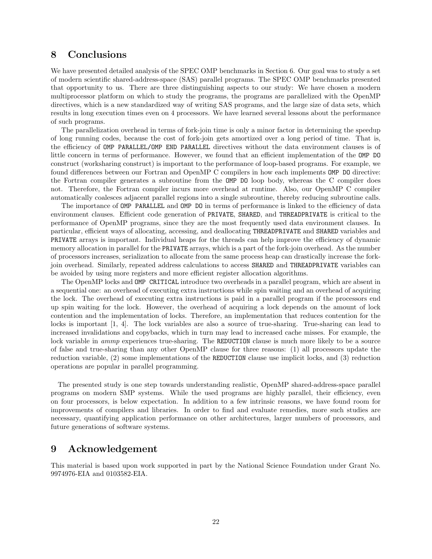# 8 Conclusions

We have presented detailed analysis of the SPEC OMP benchmarks in Section 6. Our goal was to study a set of modern scientific shared-address-space (SAS) parallel programs. The SPEC OMP benchmarks presented that opportunity to us. There are three distinguishing aspects to our study: We have chosen a modern multiprocessor platform on which to study the programs, the programs are parallelized with the OpenMP directives, which is a new standardized way of writing SAS programs, and the large size of data sets, which results in long execution times even on 4 processors. We have learned several lessons about the performance of such programs.

The parallelization overhead in terms of fork-join time is only a minor factor in determining the speedup of long running codes, because the cost of fork-join gets amortized over a long period of time. That is, the efficiency of OMP PARALLEL/OMP END PARALLEL directives without the data environment clauses is of little concern in terms of performance. However, we found that an efficient implementation of the OMP DO construct (worksharing construct) is important to the performance of loop-based programs. For example, we found differences between our Fortran and OpenMP C compilers in how each implements OMP DO directive: the Fortran compiler generates a subroutine from the OMP DO loop body, whereas the C compiler does not. Therefore, the Fortran compiler incurs more overhead at runtime. Also, our OpenMP C compiler automatically coalesces adjacent parallel regions into a single subroutine, thereby reducing subroutine calls.

The importance of OMP PARALLEL and OMP DO in terms of performance is linked to the efficiency of data environment clauses. Efficient code generation of PRIVATE, SHARED, and THREADPRIVATE is critical to the performance of OpenMP programs, since they are the most frequently used data environment clauses. In particular, efficient ways of allocating, accessing, and deallocating THREADPRIVATE and SHARED variables and PRIVATE arrays is important. Individual heaps for the threads can help improve the efficiency of dynamic memory allocation in parallel for the PRIVATE arrays, which is a part of the fork-join overhead. As the number of processors increases, serialization to allocate from the same process heap can drastically increase the forkjoin overhead. Similarly, repeated address calculations to access SHARED and THREADPRIVATE variables can be avoided by using more registers and more efficient register allocation algorithms.

The OpenMP locks and OMP CRITICAL introduce two overheads in a parallel program, which are absent in a sequential one: an overhead of executing extra instructions while spin waiting and an overhead of acquiring the lock. The overhead of executing extra instructions is paid in a parallel program if the processors end up spin waiting for the lock. However, the overhead of acquiring a lock depends on the amount of lock contention and the implementation of locks. Therefore, an implementation that reduces contention for the locks is important [1, 4]. The lock variables are also a source of true-sharing. True-sharing can lead to increased invalidations and copybacks, which in turn may lead to increased cache misses. For example, the lock variable in *ammp* experiences true-sharing. The REDUCTION clause is much more likely to be a source of false and true-sharing than any other OpenMP clause for three reasons: (1) all processors update the reduction variable, (2) some implementations of the REDUCTION clause use implicit locks, and (3) reduction operations are popular in parallel programming.

The presented study is one step towards understanding realistic, OpenMP shared-address-space parallel programs on modern SMP systems. While the used programs are highly parallel, their efficiency, even on four processors, is below expectation. In addition to a few intrinsic reasons, we have found room for improvements of compilers and libraries. In order to find and evaluate remedies, more such studies are necessary, quantifying application performance on other architectures, larger numbers of processors, and future generations of software systems.

# 9 Acknowledgement

This material is based upon work supported in part by the National Science Foundation under Grant No. 9974976-EIA and 0103582-EIA.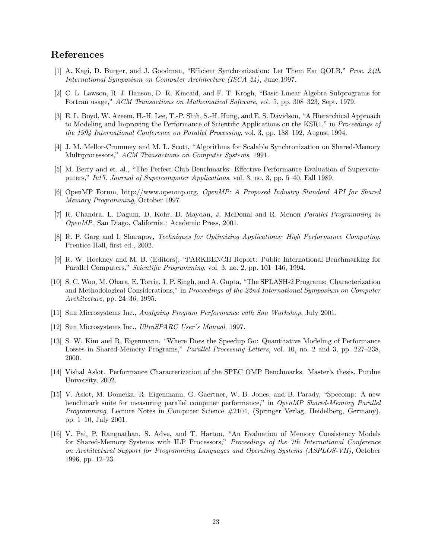# References

- [1] A. Kagi, D. Burger, and J. Goodman, "Efficient Synchronization: Let Them Eat QOLB," Proc. 24th International Symposium on Computer Architecture (ISCA 24), June 1997.
- [2] C. L. Lawson, R. J. Hanson, D. R. Kincaid, and F. T. Krogh, "Basic Linear Algebra Subprograms for Fortran usage," ACM Transactions on Mathematical Software, vol. 5, pp. 308–323, Sept. 1979.
- [3] E. L. Boyd, W. Azeem, H.-H. Lee, T.-P. Shih, S.-H. Hung, and E. S. Davidson, "A Hierarchical Approach to Modeling and Improving the Performance of Scientific Applications on the KSR1," in Proceedings of the 1994 International Conference on Parallel Processing, vol. 3, pp. 188–192, August 1994.
- [4] J. M. Mellor-Crummey and M. L. Scott, "Algorithms for Scalable Synchronization on Shared-Memory Multiprocessors," ACM Transactions on Computer Systems, 1991.
- [5] M. Berry and et. al., "The Perfect Club Benchmarks: Effective Performance Evaluation of Supercomputers," Int'l. Journal of Supercomputer Applications, vol. 3, no. 3, pp. 5–40, Fall 1989.
- [6] OpenMP Forum, http://www.openmp.org, OpenMP: A Proposed Industry Standard API for Shared Memory Programming, October 1997.
- [7] R. Chandra, L. Dagum, D. Kohr, D. Maydan, J. McDonal and R. Menon Parallel Programming in OpenMP. San Diago, California.: Academic Press, 2001.
- [8] R. P. Garg and I. Sharapov, Techniques for Optimizing Applications: High Performance Computing. Prentice Hall, first ed., 2002.
- [9] R. W. Hockney and M. B. (Editors), "PARKBENCH Report: Public International Benchmarking for Parallel Computers," Scientific Programming, vol. 3, no. 2, pp. 101–146, 1994.
- [10] S. C. Woo, M. Ohara, E. Torrie, J. P. Singh, and A. Gupta, "The SPLASH-2 Programs: Characterization and Methodological Considerations," in Proceedings of the 22nd International Symposium on Computer Architecture, pp. 24–36, 1995.
- [11] Sun Microsystems Inc., Analyzing Program Performance with Sun Workshop, July 2001.
- [12] Sun Microsystems Inc., *UltraSPARC User's Manual*, 1997.
- [13] S. W. Kim and R. Eigenmann, "Where Does the Speedup Go: Quantitative Modeling of Performance Losses in Shared-Memory Programs," Parallel Processing Letters, vol. 10, no. 2 and 3, pp. 227–238, 2000.
- [14] Vishal Aslot. Performance Characterization of the SPEC OMP Benchmarks. Master's thesis, Purdue University, 2002.
- [15] V. Aslot, M. Domeika, R. Eigenmann, G. Gaertner, W. B. Jones, and B. Parady, "Specomp: A new benchmark suite for measuring parallel computer performance," in OpenMP Shared-Memory Parallel Programming, Lecture Notes in Computer Science #2104, (Springer Verlag, Heidelberg, Germany), pp. 1–10, July 2001.
- [16] V. Pai, P. Rangnathan, S. Adve, and T. Harton, "An Evaluation of Memory Consistency Models for Shared-Memory Systems with ILP Processors," Proceedings of the 7th International Conference on Architectural Support for Programming Languages and Operating Systems (ASPLOS-VII), October 1996, pp. 12–23.